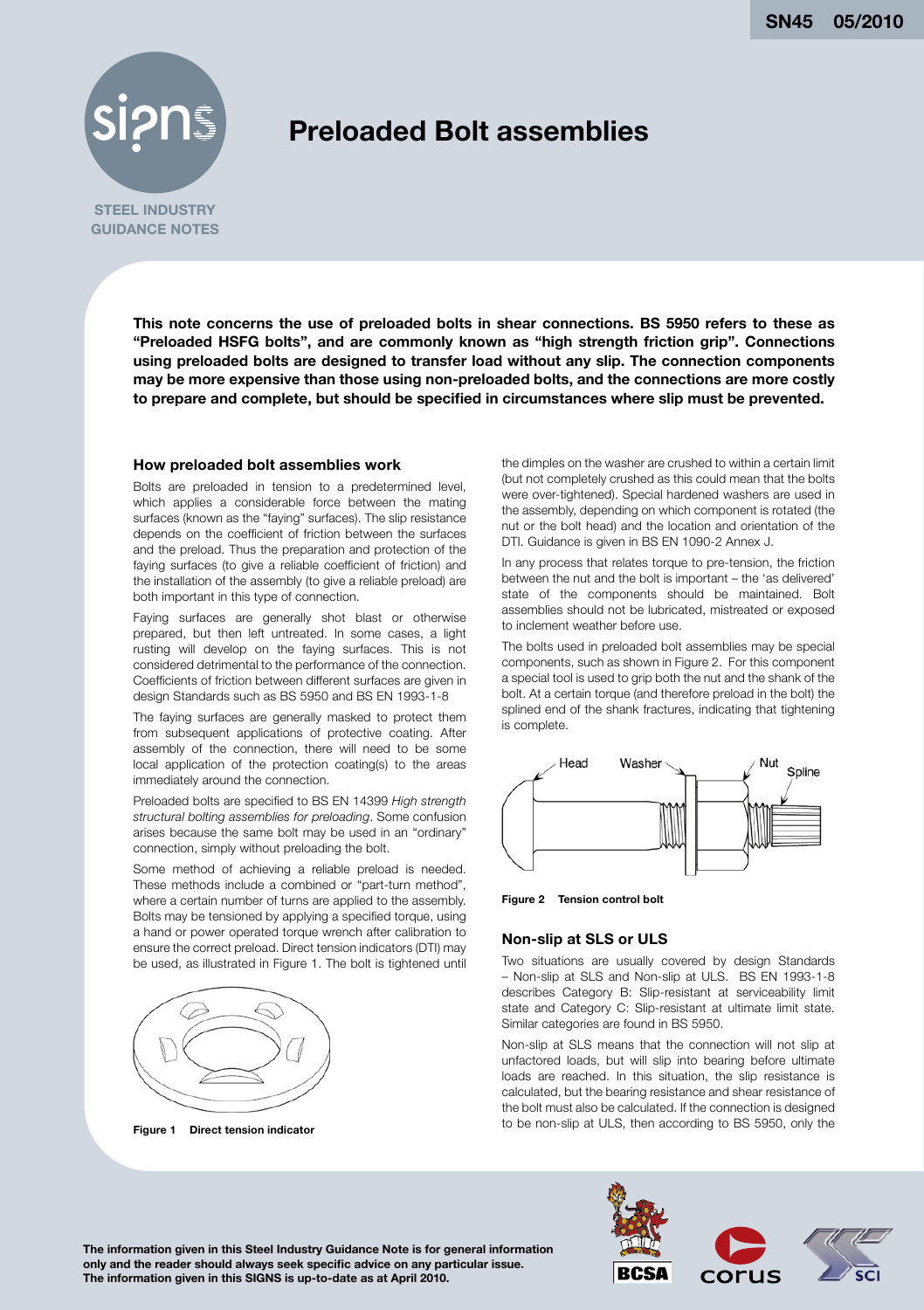**SN45 05/2010**



# **Preloaded Bolt assemblies**

**STEEL INDUSTRY GUIDANCE NOTES**

> **This note concerns the use of preloaded bolts in shear connections. BS 5950 refers to these as "Preloaded HSFG bolts", and are commonly known as "high strength friction grip". Connections using preloaded bolts are designed to transfer load without any slip. The connection components may be more expensive than those using non-preloaded bolts, and the connections are more costly to prepare and complete, but should be specified in circumstances where slip must be prevented.**

#### **How preloaded bolt assemblies work**

Bolts are preloaded in tension to a predetermined level, which applies a considerable force between the mating surfaces (known as the "faying" surfaces). The slip resistance depends on the coefficient of friction between the surfaces and the preload. Thus the preparation and protection of the faying surfaces (to give a reliable coefficient of friction) and the installation of the assembly (to give a reliable preload) are both important in this type of connection.

Faying surfaces are generally shot blast or otherwise prepared, but then left untreated. In some cases, a light rusting will develop on the faying surfaces. This is not considered detrimental to the performance of the connection. Coefficients of friction between different surfaces are given in design Standards such as BS 5950 and BS EN 1993-1-8

The faying surfaces are generally masked to protect them from subsequent applications of protective coating. After assembly of the connection, there will need to be some local application of the protection coating(s) to the areas immediately around the connection.

Preloaded bolts are specified to BS EN 14399 *High strength structural bolting assemblies for preloading*. Some confusion arises because the same bolt may be used in an "ordinary" connection, simply without preloading the bolt.

Some method of achieving a reliable preload is needed. These methods include a combined or "part-turn method", where a certain number of turns are applied to the assembly. Bolts may be tensioned by applying a specified torque, using a hand or power operated torque wrench after calibration to ensure the correct preload. Direct tension indicators (DTI) may be used, as illustrated in Figure 1. The bolt is tightened until



**Figure 1 Direct tension indicator**

the dimples on the washer are crushed to within a certain limit (but not completely crushed as this could mean that the bolts were over-tightened). Special hardened washers are used in the assembly, depending on which component is rotated (the nut or the bolt head) and the location and orientation of the DTI. Guidance is given in BS EN 1090-2 Annex J.

In any process that relates torque to pre-tension, the friction between the nut and the bolt is important – the 'as delivered' state of the components should be maintained. Bolt assemblies should not be lubricated, mistreated or exposed to inclement weather before use.

The bolts used in preloaded bolt assemblies may be special components, such as shown in Figure 2. For this component a special tool is used to grip both the nut and the shank of the bolt. At a certain torque (and therefore preload in the bolt) the splined end of the shank fractures, indicating that tightening is complete.



**Figure 2 Tension control bolt**

#### **Non-slip at SLS or ULS**

Two situations are usually covered by design Standards – Non-slip at SLS and Non-slip at ULS. BS EN 1993-1-8 describes Category B: Slip-resistant at serviceability limit state and Category C: Slip-resistant at ultimate limit state. Similar categories are found in BS 5950.

Non-slip at SLS means that the connection will not slip at unfactored loads, but will slip into bearing before ultimate loads are reached. In this situation, the slip resistance is calculated, but the bearing resistance and shear resistance of the bolt must also be calculated. If the connection is designed to be non-slip at ULS, then according to BS 5950, only the